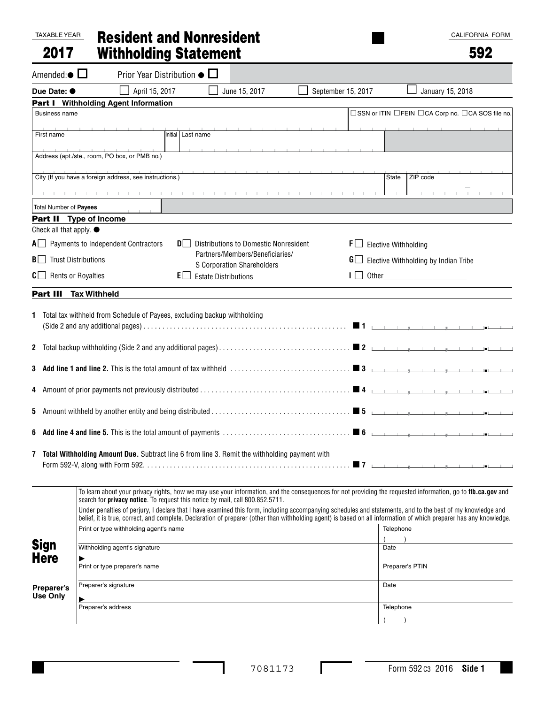#### TAXABLE YEAR 2017 Resident and Nonresident Withholding Statement

# 592

| Amended: $\bullet$ $\square$                         | Prior Year Distribution $\bullet$ $\Box$                                                                                                                                                                                                     |                                     |                                                                  |                    |                      |                                                                                                                                                                                                                                                                                                                                                                                                                                                                                                                                                           |
|------------------------------------------------------|----------------------------------------------------------------------------------------------------------------------------------------------------------------------------------------------------------------------------------------------|-------------------------------------|------------------------------------------------------------------|--------------------|----------------------|-----------------------------------------------------------------------------------------------------------------------------------------------------------------------------------------------------------------------------------------------------------------------------------------------------------------------------------------------------------------------------------------------------------------------------------------------------------------------------------------------------------------------------------------------------------|
| Due Date: $\bullet$                                  | April 15, 2017                                                                                                                                                                                                                               |                                     | June 15, 2017                                                    | September 15, 2017 |                      | January 15, 2018                                                                                                                                                                                                                                                                                                                                                                                                                                                                                                                                          |
|                                                      | Part I Withholding Agent Information                                                                                                                                                                                                         |                                     |                                                                  |                    |                      |                                                                                                                                                                                                                                                                                                                                                                                                                                                                                                                                                           |
| <b>Business name</b>                                 |                                                                                                                                                                                                                                              |                                     |                                                                  |                    |                      | □SSN or ITIN □FEIN □CA Corp no. □CA SOS file no.                                                                                                                                                                                                                                                                                                                                                                                                                                                                                                          |
| First name                                           |                                                                                                                                                                                                                                              | Initial Last name                   |                                                                  |                    | The Committee of the |                                                                                                                                                                                                                                                                                                                                                                                                                                                                                                                                                           |
|                                                      |                                                                                                                                                                                                                                              |                                     |                                                                  |                    |                      |                                                                                                                                                                                                                                                                                                                                                                                                                                                                                                                                                           |
|                                                      | Address (apt./ste., room, PO box, or PMB no.)                                                                                                                                                                                                |                                     |                                                                  |                    |                      |                                                                                                                                                                                                                                                                                                                                                                                                                                                                                                                                                           |
|                                                      |                                                                                                                                                                                                                                              | the contract of the contract of the |                                                                  |                    |                      |                                                                                                                                                                                                                                                                                                                                                                                                                                                                                                                                                           |
|                                                      | City (If you have a foreign address, see instructions.)                                                                                                                                                                                      |                                     |                                                                  |                    |                      | ZIP code<br>State                                                                                                                                                                                                                                                                                                                                                                                                                                                                                                                                         |
|                                                      |                                                                                                                                                                                                                                              |                                     |                                                                  |                    |                      |                                                                                                                                                                                                                                                                                                                                                                                                                                                                                                                                                           |
| Total Number of Payees                               |                                                                                                                                                                                                                                              |                                     |                                                                  |                    |                      |                                                                                                                                                                                                                                                                                                                                                                                                                                                                                                                                                           |
|                                                      | <b>Part II</b> Type of Income                                                                                                                                                                                                                |                                     |                                                                  |                    |                      |                                                                                                                                                                                                                                                                                                                                                                                                                                                                                                                                                           |
| Check all that apply. ●                              |                                                                                                                                                                                                                                              |                                     |                                                                  |                    |                      |                                                                                                                                                                                                                                                                                                                                                                                                                                                                                                                                                           |
|                                                      | $A \Box$ Payments to Independent Contractors                                                                                                                                                                                                 | DI I                                | Distributions to Domestic Nonresident                            |                    | F I                  | <b>Elective Withholding</b>                                                                                                                                                                                                                                                                                                                                                                                                                                                                                                                               |
| $\mathbf{B}$ Trust Distributions                     |                                                                                                                                                                                                                                              |                                     | Partners/Members/Beneficiaries/                                  |                    |                      | $\mathbf{G}$ Elective Withholding by Indian Tribe                                                                                                                                                                                                                                                                                                                                                                                                                                                                                                         |
| $C \Box$ Rents or Royalties                          |                                                                                                                                                                                                                                              | EI I                                | <b>S Corporation Shareholders</b><br><b>Estate Distributions</b> |                    |                      | Other the contract of the contract of the contract of the contract of the contract of the contract of the contract of the contract of the contract of the contract of the contract of the contract of the contract of the cont                                                                                                                                                                                                                                                                                                                            |
|                                                      |                                                                                                                                                                                                                                              |                                     |                                                                  |                    |                      |                                                                                                                                                                                                                                                                                                                                                                                                                                                                                                                                                           |
|                                                      | Part III Tax Withheld                                                                                                                                                                                                                        |                                     |                                                                  |                    |                      |                                                                                                                                                                                                                                                                                                                                                                                                                                                                                                                                                           |
| $\mathbf{2}$<br>4<br>5                               | 7 Total Withholding Amount Due. Subtract line 6 from line 3. Remit the withholding payment with                                                                                                                                              |                                     |                                                                  |                    |                      |                                                                                                                                                                                                                                                                                                                                                                                                                                                                                                                                                           |
| <b>Sign</b><br><b>Here</b><br>Preparer's<br>Use Only | search for privacy notice. To request this notice by mail, call 800.852.5711.<br>Print or type withholding agent's name<br>Withholding agent's signature<br>⊵<br>Print or type preparer's name<br>Preparer's signature<br>Preparer's address |                                     |                                                                  |                    | Date<br>Date         | To learn about your privacy rights, how we may use your information, and the consequences for not providing the requested information, go to ftb.ca.gov and<br>Under penalties of perjury, I declare that I have examined this form, including accompanying schedules and statements, and to the best of my knowledge and<br>belief, it is true, correct, and complete. Declaration of preparer (other than withholding agent) is based on all information of which preparer has any knowledge.<br>Telephone<br>$\lambda$<br>Preparer's PTIN<br>Telephone |
|                                                      |                                                                                                                                                                                                                                              |                                     |                                                                  |                    |                      |                                                                                                                                                                                                                                                                                                                                                                                                                                                                                                                                                           |

 $\Gamma$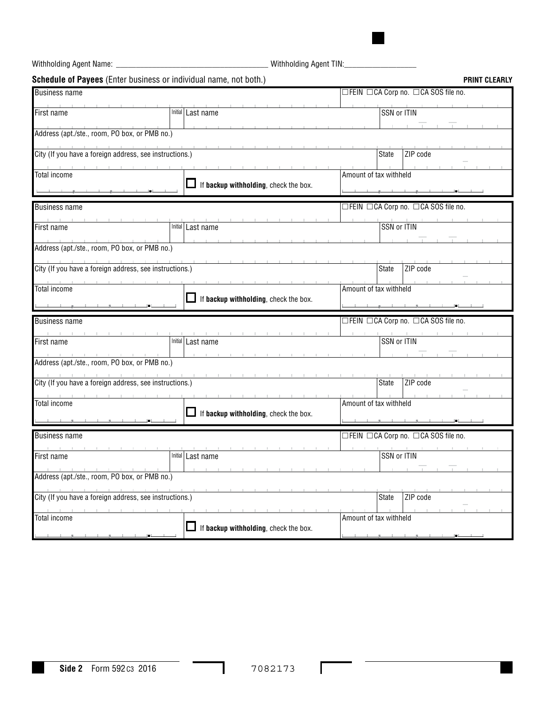Withholding Agent Name: \_\_\_\_\_\_\_\_\_\_\_\_\_\_\_\_\_\_\_\_\_\_\_\_\_\_\_\_\_\_\_\_\_\_\_\_\_\_ Withholding Agent TIN:\_\_\_\_\_\_\_\_\_\_\_\_\_\_\_\_\_\_

|                                                         | <b>Schedule of Payees</b> (Enter business or individual name, not both.) | <b>PRINT CLEARLY</b>                |
|---------------------------------------------------------|--------------------------------------------------------------------------|-------------------------------------|
| <b>Business name</b>                                    |                                                                          | □FEIN □CA Corp no. □CA SOS file no. |
| First name                                              | Initial Last name                                                        | SSN or ITIN                         |
| Address (apt./ste., room, PO box, or PMB no.)           |                                                                          |                                     |
| City (If you have a foreign address, see instructions.) |                                                                          | ZIP code<br><b>State</b>            |
| <b>Total income</b>                                     | If backup withholding, check the box.                                    | Amount of tax withheld              |
| <b>Business name</b>                                    |                                                                          | □FEIN □CA Corp no. □CA SOS file no. |
| First name                                              | Initial Last name                                                        | SSN or ITIN                         |
| Address (apt./ste., room, PO box, or PMB no.)           |                                                                          |                                     |
| City (If you have a foreign address, see instructions.) |                                                                          | ZIP code<br><b>State</b>            |
| Total income                                            | If backup withholding, check the box.                                    | Amount of tax withheld              |
| <b>Business name</b>                                    |                                                                          | □FEIN □CA Corp no. □CA SOS file no. |
| First name                                              | Initial   Last name                                                      | SSN or ITIN                         |
| Address (apt./ste., room, PO box, or PMB no.)           |                                                                          |                                     |
|                                                         |                                                                          |                                     |
| City (If you have a foreign address, see instructions.) |                                                                          | ZIP code<br><b>State</b>            |
| <b>Total income</b>                                     | If backup withholding, check the box.                                    | Amount of tax withheld              |
| <b>Business name</b>                                    |                                                                          | □FEIN □CA Corp no. □CA SOS file no. |
| First name                                              | Initial Last name                                                        | SSN or ITIN                         |
| Address (apt./ste., room, PO box, or PMB no.)           |                                                                          |                                     |
| City (If you have a foreign address, see instructions.) |                                                                          | ZIP code<br><b>State</b>            |

I

-

Г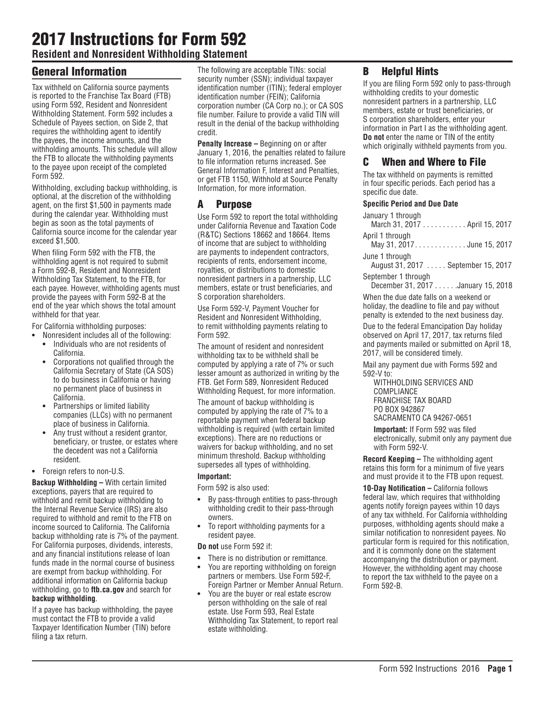# 2017 Instructions for Form 592

**Resident and Nonresident Withholding Statement**

# General Information

Tax withheld on California source payments is reported to the Franchise Tax Board (FTB) using Form 592, Resident and Nonresident Withholding Statement. Form 592 includes a Schedule of Payees section, on Side 2, that requires the withholding agent to identify the payees, the income amounts, and the withholding amounts. This schedule will allow the FTB to allocate the withholding payments to the payee upon receipt of the completed Form 592.

Withholding, excluding backup withholding, is optional, at the discretion of the withholding agent, on the first \$1,500 in payments made during the calendar year. Withholding must begin as soon as the total payments of California source income for the calendar year exceed \$1,500.

When filing Form 592 with the FTB, the withholding agent is not required to submit a Form 592‑B, Resident and Nonresident Withholding Tax Statement, to the FTB, for each payee. However, withholding agents must provide the payees with Form 592‑B at the end of the year which shows the total amount withheld for that year.

For California withholding purposes:

- **•** Nonresident includes all of the following: **•** Individuals who are not residents of California.
- **•** Corporations not qualified through the California Secretary of State (CA SOS) to do business in California or having no permanent place of business in California.
- **•** Partnerships or limited liability companies (LLCs) with no permanent place of business in California.
- **•** Any trust without a resident grantor, beneficiary, or trustee, or estates where the decedent was not a California resident.
- **•** Foreign refers to non-U.S.

**Backup Withholding –** With certain limited exceptions, payers that are required to withhold and remit backup withholding to the Internal Revenue Service (IRS) are also required to withhold and remit to the FTB on income sourced to California. The California backup withholding rate is 7% of the payment. For California purposes, dividends, interests, and any financial institutions release of loan funds made in the normal course of business are exempt from backup withholding. For additional information on California backup withholding, go to **ftb.ca.gov** and search for **backup withholding**.

If a payee has backup withholding, the payee must contact the FTB to provide a valid Taxpayer Identification Number (TIN) before filing a tax return.

The following are acceptable TINs: social security number (SSN); individual taxpayer identification number (ITIN); federal employer identification number (FEIN); California corporation number (CA Corp no.); or CA SOS file number. Failure to provide a valid TIN will result in the denial of the backup withholding credit.

**Penalty Increase –** Beginning on or after January 1, 2016, the penalties related to failure to file information returns increased. See General Information F, Interest and Penalties, or get FTB 1150, Withhold at Source Penalty Information, for more information.

# A Purpose

Use Form 592 to report the total withholding under California Revenue and Taxation Code (R&TC) Sections 18662 and 18664. Items of income that are subject to withholding are payments to independent contractors, recipients of rents, endorsement income, royalties, or distributions to domestic nonresident partners in a partnership, LLC members, estate or trust beneficiaries, and S corporation shareholders.

Use Form 592‑V, Payment Voucher for Resident and Nonresident Withholding, to remit withholding payments relating to Form 592.

The amount of resident and nonresident withholding tax to be withheld shall be computed by applying a rate of 7% or such lesser amount as authorized in writing by the FTB. Get Form 589, Nonresident Reduced Withholding Request, for more information.

The amount of backup withholding is computed by applying the rate of 7% to a reportable payment when federal backup withholding is required (with certain limited exceptions). There are no reductions or waivers for backup withholding, and no set minimum threshold. Backup withholding supersedes all types of withholding.

#### **Important:**

Form 592 is also used:

- **•** By pass-through entities to pass-through withholding credit to their pass-through owners.
- **•** To report withholding payments for a resident payee.

**Do not** use Form 592 if:

- **•** There is no distribution or remittance.
- **•** You are reporting withholding on foreign partners or members. Use Form 592-F, Foreign Partner or Member Annual Return.
- **•** You are the buyer or real estate escrow person withholding on the sale of real estate. Use Form 593, Real Estate Withholding Tax Statement, to report real estate withholding.

# B Helpful Hints

If you are filing Form 592 only to pass-through withholding credits to your domestic nonresident partners in a partnership, LLC members, estate or trust beneficiaries, or S corporation shareholders, enter your information in Part I as the withholding agent. **Do not** enter the name or TIN of the entity which originally withheld payments from you.

# C When and Where to File

The tax withheld on payments is remitted in four specific periods. Each period has a specific due date.

#### **Specific Period and Due Date**

| January 1 through<br>March 31, 2017 April 15, 2017        |
|-----------------------------------------------------------|
| April 1 through<br>May 31, 2017. June 15, 2017            |
| June 1 through<br>August 31, 2017  September 15, 2017     |
| September 1 through<br>December 31, 2017 January 15, 2018 |

When the due date falls on a weekend or holiday, the deadline to file and pay without penalty is extended to the next business day.

Due to the federal Emancipation Day holiday observed on April 17, 2017, tax returns filed and payments mailed or submitted on April 18, 2017, will be considered timely.

Mail any payment due with Forms 592 and 592-V to:

WITHHOLDING SERVICES AND COMPLIANCE FRANCHISE TAX BOARD PO BOX 942867 SACRAMENTO CA 94267-0651

**Important:** If Form 592 was filed electronically, submit only any payment due with Form 592-V.

**Record Keeping –** The withholding agent retains this form for a minimum of five years and must provide it to the FTB upon request.

**10-Day Notification –** California follows federal law, which requires that withholding agents notify foreign payees within 10 days of any tax withheld. For California withholding purposes, withholding agents should make a similar notification to nonresident payees. No particular form is required for this notification, and it is commonly done on the statement accompanying the distribution or payment. However, the withholding agent may choose to report the tax withheld to the payee on a Form 592-B.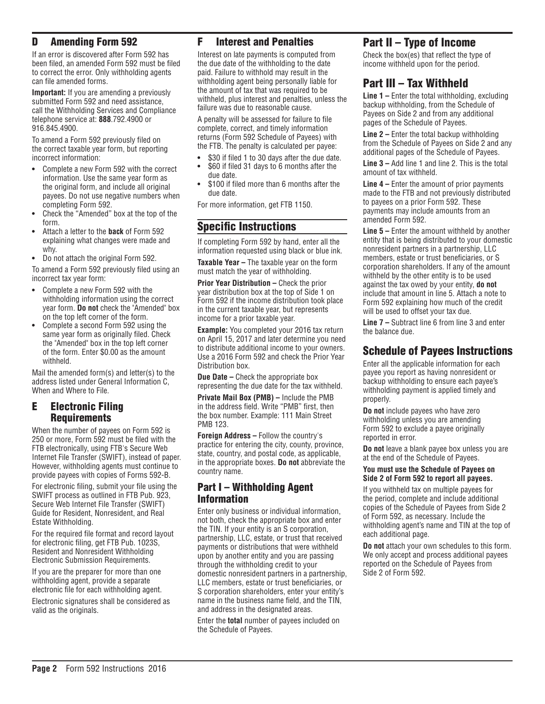### D Amending Form 592

If an error is discovered after Form 592 has been filed, an amended Form 592 must be filed to correct the error. Only withholding agents can file amended forms.

**Important:** If you are amending a previously submitted Form 592 and need assistance, call the Withholding Services and Compliance telephone service at: **888**.792.4900 or 916.845.4900.

To amend a Form 592 previously filed on the correct taxable year form, but reporting incorrect information:

- **•** Complete a new Form 592 with the correct information. Use the same year form as the original form, and include all original payees. Do not use negative numbers when completing Form 592.
- **•** Check the "Amended" box at the top of the form.
- **•** Attach a letter to the **back** of Form 592 explaining what changes were made and why.
- **•** Do not attach the original Form 592.

To amend a Form 592 previously filed using an incorrect tax year form:

- **•** Complete a new Form 592 with the withholding information using the correct year form. **Do not** check the "Amended" box on the top left corner of the form.
- **•** Complete a second Form 592 using the same year form as originally filed. Check the "Amended" box in the top left corner of the form. Enter \$0.00 as the amount withheld.

Mail the amended form(s) and letter(s) to the address listed under General Information C, When and Where to File.

### E Electronic Filing Requirements

When the number of payees on Form 592 is 250 or more, Form 592 must be filed with the FTB electronically, using FTB's Secure Web Internet File Transfer (SWIFT), instead of paper. However, withholding agents must continue to provide payees with copies of Forms 592‑B.

For electronic filing, submit your file using the SWIFT process as outlined in FTB Pub. 923, Secure Web Internet File Transfer (SWIFT) Guide for Resident, Nonresident, and Real Estate Withholding.

For the required file format and record layout for electronic filing, get FTB Pub. 1023S, Resident and Nonresident Withholding Electronic Submission Requirements.

If you are the preparer for more than one withholding agent, provide a separate electronic file for each withholding agent.

Electronic signatures shall be considered as valid as the originals.

### F Interest and Penalties

Interest on late payments is computed from the due date of the withholding to the date paid. Failure to withhold may result in the withholding agent being personally liable for the amount of tax that was required to be withheld, plus interest and penalties, unless the failure was due to reasonable cause.

A penalty will be assessed for failure to file complete, correct, and timely information returns (Form 592 Schedule of Payees) with the FTB. The penalty is calculated per payee:

- **•** \$30 if filed 1 to 30 days after the due date.
- **•** \$60 if filed 31 days to 6 months after the due date.
- **•** \$100 if filed more than 6 months after the due date.

For more information, get FTB 1150.

### Specific Instructions

If completing Form 592 by hand, enter all the information requested using black or blue ink.

**Taxable Year –** The taxable year on the form must match the year of withholding.

**Prior Year Distribution – Check the prior** year distribution box at the top of Side 1 on Form 592 if the income distribution took place in the current taxable year, but represents income for a prior taxable year.

**Example:** You completed your 2016 tax return on April 15, 2017 and later determine you need to distribute additional income to your owners. Use a 2016 Form 592 and check the Prior Year Distribution box.

**Due Date –** Check the appropriate box representing the due date for the tax withheld.

**Private Mail Box (PMB) –** Include the PMB in the address field. Write "PMB" first, then the box number. Example: 111 Main Street PMB 123.

**Foreign Address –** Follow the country's practice for entering the city, county, province, state, country, and postal code, as applicable, in the appropriate boxes. **Do not** abbreviate the country name.

### Part I – Withholding Agent Information

Enter only business or individual information, not both, check the appropriate box and enter the TIN. If your entity is an S corporation, partnership, LLC, estate, or trust that received payments or distributions that were withheld upon by another entity and you are passing through the withholding credit to your domestic nonresident partners in a partnership, LLC members, estate or trust beneficiaries, or S corporation shareholders, enter your entity's name in the business name field, and the TIN, and address in the designated areas.

Enter the **total** number of payees included on the Schedule of Payees.

# Part II – Type of Income

Check the box(es) that reflect the type of income withheld upon for the period.

### Part III – Tax Withheld

**Line 1 –** Enter the total withholding, excluding backup withholding, from the Schedule of Payees on Side 2 and from any additional pages of the Schedule of Payees.

**Line 2 –** Enter the total backup withholding from the Schedule of Payees on Side 2 and any additional pages of the Schedule of Payees.

**Line 3 –** Add line 1 and line 2. This is the total amount of tax withheld.

**Line 4 –** Enter the amount of prior payments made to the FTB and not previously distributed to payees on a prior Form 592. These payments may include amounts from an amended Form 592.

**Line 5 –** Enter the amount withheld by another entity that is being distributed to your domestic nonresident partners in a partnership, LLC members, estate or trust beneficiaries, or S corporation shareholders. If any of the amount withheld by the other entity is to be used against the tax owed by your entity, **do not** include that amount in line 5. Attach a note to Form 592 explaining how much of the credit will be used to offset your tax due.

**Line 7 –** Subtract line 6 from line 3 and enter the balance due.

### Schedule of Payees Instructions

Enter all the applicable information for each payee you report as having nonresident or backup withholding to ensure each payee's withholding payment is applied timely and properly.

**Do not** include payees who have zero withholding unless you are amending Form 592 to exclude a payee originally reported in error.

**Do not** leave a blank payee box unless you are at the end of the Schedule of Payees.

#### **You must use the Schedule of Payees on Side 2 of Form 592 to report all payees.**

If you withheld tax on multiple payees for the period, complete and include additional copies of the Schedule of Payees from Side 2 of Form 592, as necessary. Include the withholding agent's name and TIN at the top of each additional page.

**Do not** attach your own schedules to this form. We only accept and process additional payees reported on the Schedule of Payees from Side 2 of Form 592.